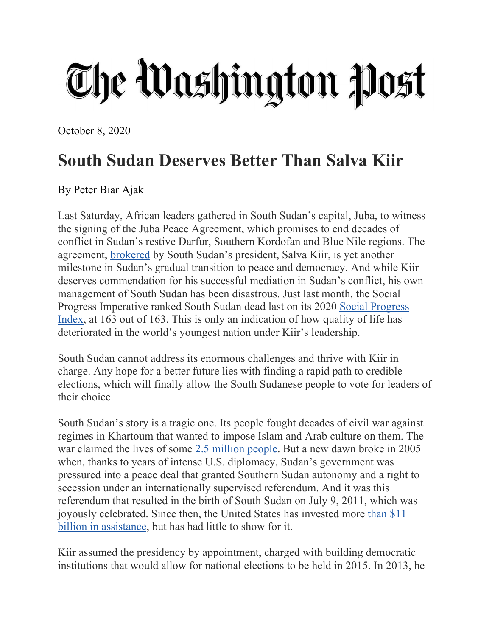## The Washington Post

October 8, 2020

## **South Sudan Deserves Better Than Salva Kiir**

By Peter Biar Ajak

Last Saturday, African leaders gathered in South Sudan's capital, Juba, to witness the signing of the Juba Peace Agreement, which promises to end decades of conflict in Sudan's restive Darfur, Southern Kordofan and Blue Nile regions. The agreement, brokered by South Sudan's president, Salva Kiir, is yet another milestone in Sudan's gradual transition to peace and democracy. And while Kiir deserves commendation for his successful mediation in Sudan's conflict, his own management of South Sudan has been disastrous. Just last month, the Social Progress Imperative ranked South Sudan dead last on its 2020 Social Progress Index, at 163 out of 163. This is only an indication of how quality of life has deteriorated in the world's youngest nation under Kiir's leadership.

South Sudan cannot address its enormous challenges and thrive with Kiir in charge. Any hope for a better future lies with finding a rapid path to credible elections, which will finally allow the South Sudanese people to vote for leaders of their choice.

South Sudan's story is a tragic one. Its people fought decades of civil war against regimes in Khartoum that wanted to impose Islam and Arab culture on them. The war claimed the lives of some 2.5 million people. But a new dawn broke in 2005 when, thanks to years of intense U.S. diplomacy, Sudan's government was pressured into a peace deal that granted Southern Sudan autonomy and a right to secession under an internationally supervised referendum. And it was this referendum that resulted in the birth of South Sudan on July 9, 2011, which was joyously celebrated. Since then, the United States has invested more than \$11 billion in assistance, but has had little to show for it.

Kiir assumed the presidency by appointment, charged with building democratic institutions that would allow for national elections to be held in 2015. In 2013, he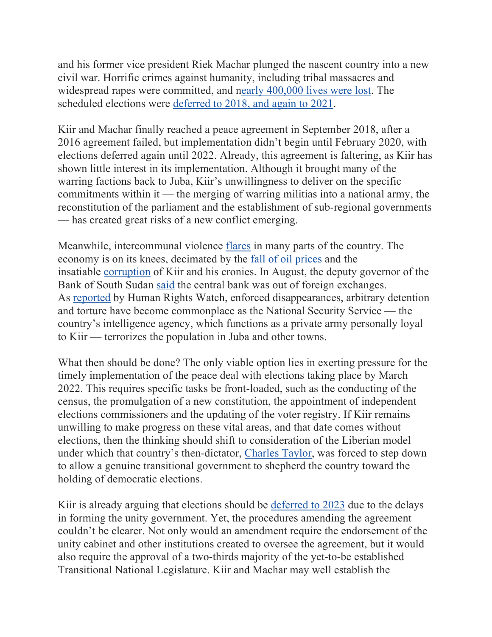and his former vice president Riek Machar plunged the nascent country into a new civil war. Horrific crimes against humanity, including tribal massacres and widespread rapes were committed, and nearly 400,000 lives were lost. The scheduled elections were deferred to 2018, and again to 2021.

Kiir and Machar finally reached a peace agreement in September 2018, after a 2016 agreement failed, but implementation didn't begin until February 2020, with elections deferred again until 2022. Already, this agreement is faltering, as Kiir has shown little interest in its implementation. Although it brought many of the warring factions back to Juba, Kiir's unwillingness to deliver on the specific commitments within it — the merging of warring militias into a national army, the reconstitution of the parliament and the establishment of sub-regional governments — has created great risks of a new conflict emerging.

Meanwhile, intercommunal violence flares in many parts of the country. The economy is on its knees, decimated by the fall of oil prices and the insatiable corruption of Kiir and his cronies. In August, the deputy governor of the Bank of South Sudan said the central bank was out of foreign exchanges. As reported by Human Rights Watch, enforced disappearances, arbitrary detention and torture have become commonplace as the National Security Service — the country's intelligence agency, which functions as a private army personally loyal to Kiir — terrorizes the population in Juba and other towns.

What then should be done? The only viable option lies in exerting pressure for the timely implementation of the peace deal with elections taking place by March 2022. This requires specific tasks be front-loaded, such as the conducting of the census, the promulgation of a new constitution, the appointment of independent elections commissioners and the updating of the voter registry. If Kiir remains unwilling to make progress on these vital areas, and that date comes without elections, then the thinking should shift to consideration of the Liberian model under which that country's then-dictator, Charles Taylor, was forced to step down to allow a genuine transitional government to shepherd the country toward the holding of democratic elections.

Kiir is already arguing that elections should be deferred to 2023 due to the delays in forming the unity government. Yet, the procedures amending the agreement couldn't be clearer. Not only would an amendment require the endorsement of the unity cabinet and other institutions created to oversee the agreement, but it would also require the approval of a two-thirds majority of the yet-to-be established Transitional National Legislature. Kiir and Machar may well establish the